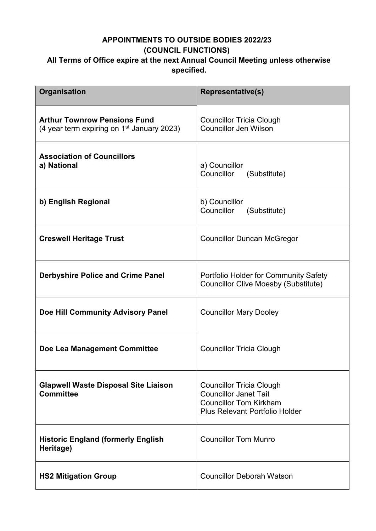## **APPOINTMENTS TO OUTSIDE BODIES 2022/23 (COUNCIL FUNCTIONS) All Terms of Office expire at the next Annual Council Meeting unless otherwise specified.**

| Organisation                                                                        | <b>Representative(s)</b>                                                                                                                  |
|-------------------------------------------------------------------------------------|-------------------------------------------------------------------------------------------------------------------------------------------|
| <b>Arthur Townrow Pensions Fund</b><br>(4 year term expiring on $1st$ January 2023) | <b>Councillor Tricia Clough</b><br><b>Councillor Jen Wilson</b>                                                                           |
| <b>Association of Councillors</b><br>a) National                                    | a) Councillor<br>Councillor<br>(Substitute)                                                                                               |
| b) English Regional                                                                 | b) Councillor<br>Councillor<br>(Substitute)                                                                                               |
| <b>Creswell Heritage Trust</b>                                                      | <b>Councillor Duncan McGregor</b>                                                                                                         |
| <b>Derbyshire Police and Crime Panel</b>                                            | <b>Portfolio Holder for Community Safety</b><br><b>Councillor Clive Moesby (Substitute)</b>                                               |
| Doe Hill Community Advisory Panel                                                   | <b>Councillor Mary Dooley</b>                                                                                                             |
| Doe Lea Management Committee                                                        | <b>Councillor Tricia Clough</b>                                                                                                           |
| <b>Glapwell Waste Disposal Site Liaison</b><br><b>Committee</b>                     | <b>Councillor Tricia Clough</b><br><b>Councillor Janet Tait</b><br><b>Councillor Tom Kirkham</b><br><b>Plus Relevant Portfolio Holder</b> |
| <b>Historic England (formerly English</b><br>Heritage)                              | <b>Councillor Tom Munro</b>                                                                                                               |
| <b>HS2 Mitigation Group</b>                                                         | <b>Councillor Deborah Watson</b>                                                                                                          |